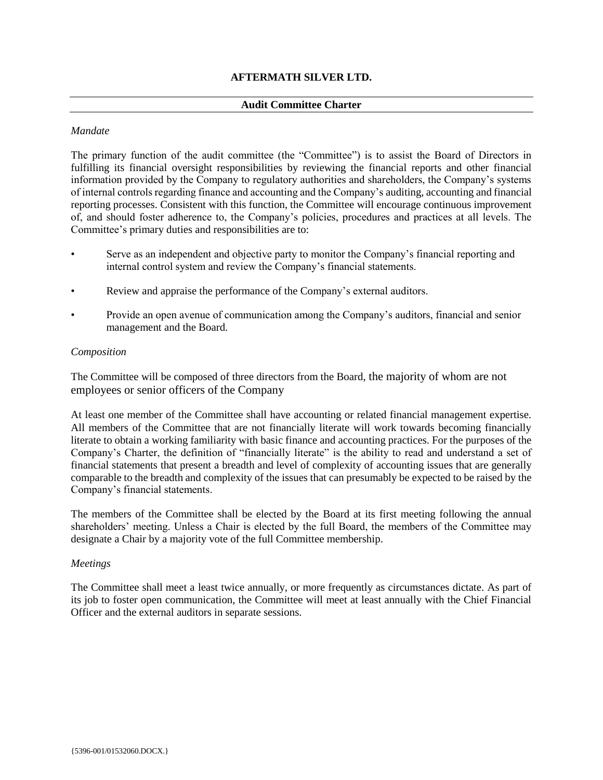# **AFTERMATH SILVER LTD.**

## **Audit Committee Charter**

## *Mandate*

The primary function of the audit committee (the "Committee") is to assist the Board of Directors in fulfilling its financial oversight responsibilities by reviewing the financial reports and other financial information provided by the Company to regulatory authorities and shareholders, the Company's systems of internal controls regarding finance and accounting and the Company's auditing, accounting and financial reporting processes. Consistent with this function, the Committee will encourage continuous improvement of, and should foster adherence to, the Company's policies, procedures and practices at all levels. The Committee's primary duties and responsibilities are to:

- Serve as an independent and objective party to monitor the Company's financial reporting and internal control system and review the Company's financial statements.
- Review and appraise the performance of the Company's external auditors.
- Provide an open avenue of communication among the Company's auditors, financial and senior management and the Board.

### *Composition*

The Committee will be composed of three directors from the Board, the majority of whom are not employees or senior officers of the Company

At least one member of the Committee shall have accounting or related financial management expertise. All members of the Committee that are not financially literate will work towards becoming financially literate to obtain a working familiarity with basic finance and accounting practices. For the purposes of the Company's Charter, the definition of "financially literate" is the ability to read and understand a set of financial statements that present a breadth and level of complexity of accounting issues that are generally comparable to the breadth and complexity of the issues that can presumably be expected to be raised by the Company's financial statements.

The members of the Committee shall be elected by the Board at its first meeting following the annual shareholders' meeting. Unless a Chair is elected by the full Board, the members of the Committee may designate a Chair by a majority vote of the full Committee membership.

### *Meetings*

The Committee shall meet a least twice annually, or more frequently as circumstances dictate. As part of its job to foster open communication, the Committee will meet at least annually with the Chief Financial Officer and the external auditors in separate sessions.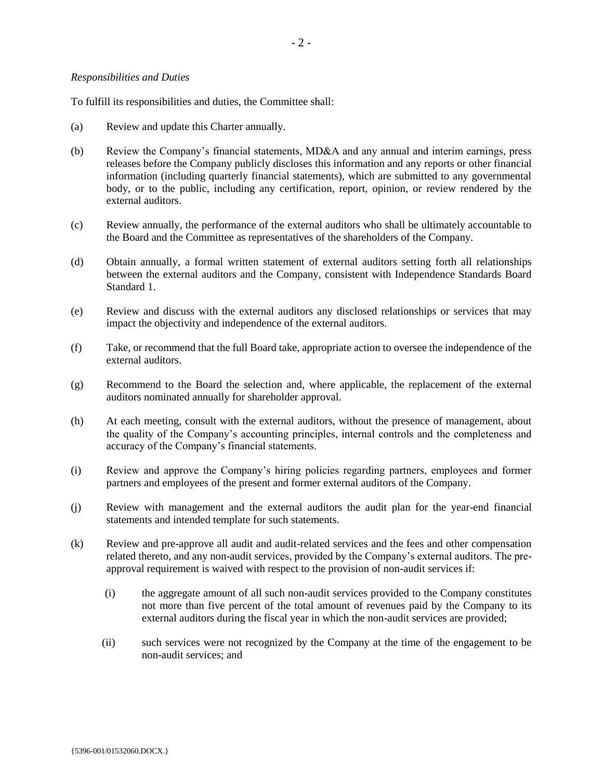### *Responsibilities and Duties*

To fulfill its responsibilities and duties, the Committee shall:

- (a) Review and update this Charter annually.
- (b) Review the Company's financial statements, MD&A and any annual and interim earnings, press releases before the Company publicly discloses this information and any reports or other financial information (including quarterly financial statements), which are submitted to any governmental body, or to the public, including any certification, report, opinion, or review rendered by the external auditors.
- (c) Review annually, the performance of the external auditors who shall be ultimately accountable to the Board and the Committee as representatives of the shareholders of the Company.
- (d) Obtain annually, a formal written statement of external auditors setting forth all relationships between the external auditors and the Company, consistent with Independence Standards Board Standard 1.
- (e) Review and discuss with the external auditors any disclosed relationships or services that may impact the objectivity and independence of the external auditors.
- (f) Take, or recommend that the full Board take, appropriate action to oversee the independence of the external auditors.
- (g) Recommend to the Board the selection and, where applicable, the replacement of the external auditors nominated annually for shareholder approval.
- (h) At each meeting, consult with the external auditors, without the presence of management, about the quality of the Company's accounting principles, internal controls and the completeness and accuracy of the Company's financial statements.
- (i) Review and approve the Company's hiring policies regarding partners, employees and former partners and employees of the present and former external auditors of the Company.
- (j) Review with management and the external auditors the audit plan for the year-end financial statements and intended template for such statements.
- (k) Review and pre-approve all audit and audit-related services and the fees and other compensation related thereto, and any non-audit services, provided by the Company's external auditors. The preapproval requirement is waived with respect to the provision of non-audit services if:
	- (i) the aggregate amount of all such non-audit services provided to the Company constitutes not more than five percent of the total amount of revenues paid by the Company to its external auditors during the fiscal year in which the non-audit services are provided;
	- (ii) such services were not recognized by the Company at the time of the engagement to be non-audit services; and